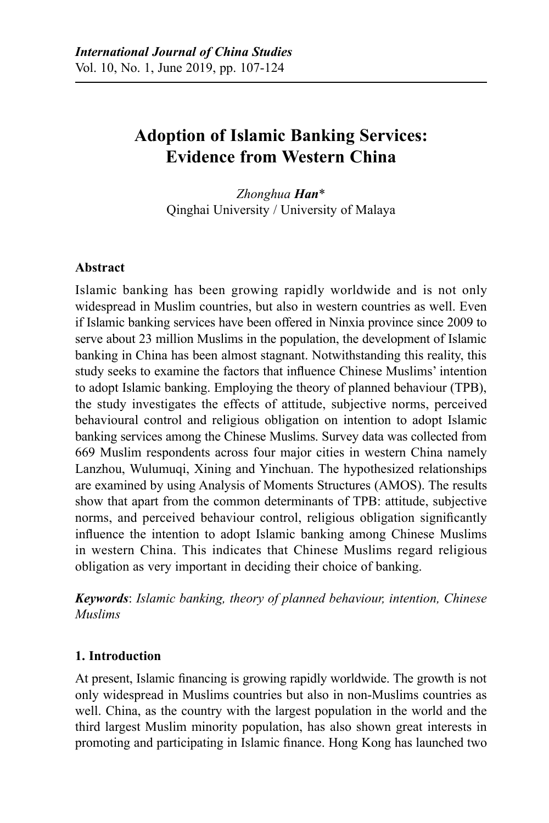# **Adoption of Islamic Banking Services: Evidence from Western China**

*Zhonghua Han*\* Qinghai University / University of Malaya

### **Abstract**

Islamic banking has been growing rapidly worldwide and is not only widespread in Muslim countries, but also in western countries as well. Even if Islamic banking services have been offered in Ninxia province since 2009 to serve about 23 million Muslims in the population, the development of Islamic banking in China has been almost stagnant. Notwithstanding this reality, this study seeks to examine the factors that influence Chinese Muslims' intention to adopt Islamic banking. Employing the theory of planned behaviour (TPB), the study investigates the effects of attitude, subjective norms, perceived behavioural control and religious obligation on intention to adopt Islamic banking services among the Chinese Muslims. Survey data was collected from 669 Muslim respondents across four major cities in western China namely Lanzhou, Wulumuqi, Xining and Yinchuan. The hypothesized relationships are examined by using Analysis of Moments Structures (AMOS). The results show that apart from the common determinants of TPB: attitude, subjective norms, and perceived behaviour control, religious obligation significantly influence the intention to adopt Islamic banking among Chinese Muslims in western China. This indicates that Chinese Muslims regard religious obligation as very important in deciding their choice of banking.

*Keywords*: *Islamic banking, theory of planned behaviour, intention, Chinese Muslims*

### **1. Introduction**

At present, Islamic financing is growing rapidly worldwide. The growth is not only widespread in Muslims countries but also in non-Muslims countries as well. China, as the country with the largest population in the world and the third largest Muslim minority population, has also shown great interests in promoting and participating in Islamic finance. Hong Kong has launched two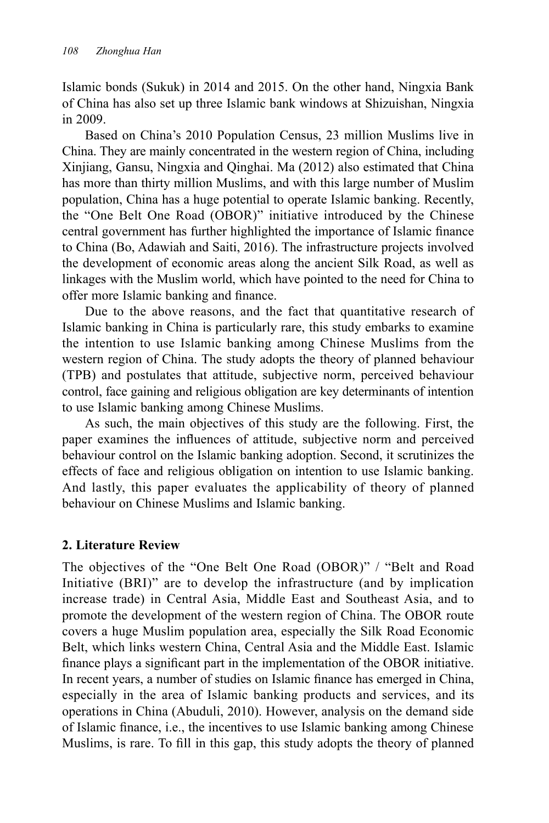Islamic bonds (Sukuk) in 2014 and 2015. On the other hand, Ningxia Bank of China has also set up three Islamic bank windows at Shizuishan, Ningxia in 2009.

Based on China's 2010 Population Census, 23 million Muslims live in China. They are mainly concentrated in the western region of China, including Xinjiang, Gansu, Ningxia and Qinghai. Ma (2012) also estimated that China has more than thirty million Muslims, and with this large number of Muslim population, China has a huge potential to operate Islamic banking. Recently, the "One Belt One Road (OBOR)" initiative introduced by the Chinese central government has further highlighted the importance of Islamic finance to China (Bo, Adawiah and Saiti, 2016). The infrastructure projects involved the development of economic areas along the ancient Silk Road, as well as linkages with the Muslim world, which have pointed to the need for China to offer more Islamic banking and finance.

Due to the above reasons, and the fact that quantitative research of Islamic banking in China is particularly rare, this study embarks to examine the intention to use Islamic banking among Chinese Muslims from the western region of China. The study adopts the theory of planned behaviour (TPB) and postulates that attitude, subjective norm, perceived behaviour control, face gaining and religious obligation are key determinants of intention to use Islamic banking among Chinese Muslims.

As such, the main objectives of this study are the following. First, the paper examines the influences of attitude, subjective norm and perceived behaviour control on the Islamic banking adoption. Second, it scrutinizes the effects of face and religious obligation on intention to use Islamic banking. And lastly, this paper evaluates the applicability of theory of planned behaviour on Chinese Muslims and Islamic banking.

### **2. Literature Review**

The objectives of the "One Belt One Road (OBOR)" / "Belt and Road Initiative (BRI)" are to develop the infrastructure (and by implication increase trade) in Central Asia, Middle East and Southeast Asia, and to promote the development of the western region of China. The OBOR route covers a huge Muslim population area, especially the Silk Road Economic Belt, which links western China, Central Asia and the Middle East. Islamic finance plays a significant part in the implementation of the OBOR initiative. In recent years, a number of studies on Islamic finance has emerged in China, especially in the area of Islamic banking products and services, and its operations in China (Abuduli, 2010). However, analysis on the demand side of Islamic finance, i.e., the incentives to use Islamic banking among Chinese Muslims, is rare. To fill in this gap, this study adopts the theory of planned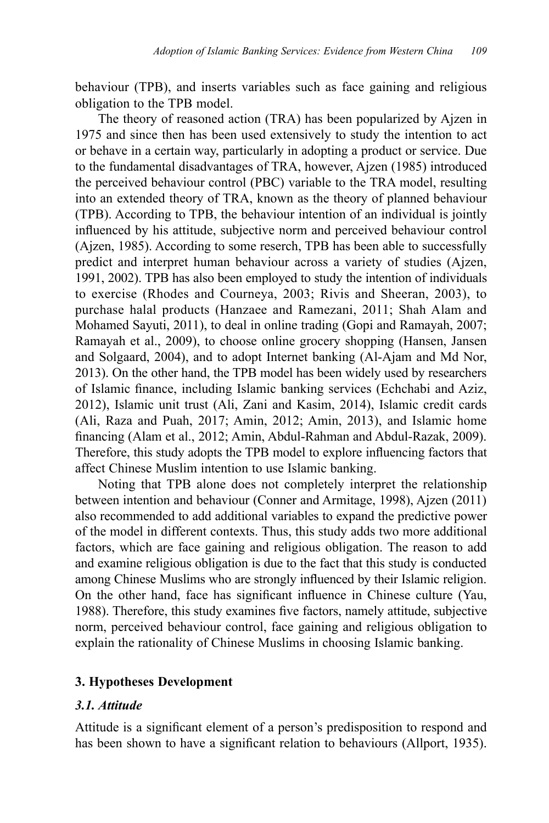behaviour (TPB), and inserts variables such as face gaining and religious obligation to the TPB model.

The theory of reasoned action (TRA) has been popularized by Ajzen in 1975 and since then has been used extensively to study the intention to act or behave in a certain way, particularly in adopting a product or service. Due to the fundamental disadvantages of TRA, however, Ajzen (1985) introduced the perceived behaviour control (PBC) variable to the TRA model, resulting into an extended theory of TRA, known as the theory of planned behaviour (TPB). According to TPB, the behaviour intention of an individual is jointly influenced by his attitude, subjective norm and perceived behaviour control (Ajzen, 1985). According to some reserch, TPB has been able to successfully predict and interpret human behaviour across a variety of studies (Ajzen, 1991, 2002). TPB has also been employed to study the intention of individuals to exercise (Rhodes and Courneya, 2003; Rivis and Sheeran, 2003), to purchase halal products (Hanzaee and Ramezani, 2011; Shah Alam and Mohamed Sayuti, 2011), to deal in online trading (Gopi and Ramayah, 2007; Ramayah et al., 2009), to choose online grocery shopping (Hansen, Jansen and Solgaard, 2004), and to adopt Internet banking (Al-Ajam and Md Nor, 2013). On the other hand, the TPB model has been widely used by researchers of Islamic finance, including Islamic banking services (Echchabi and Aziz, 2012), Islamic unit trust (Ali, Zani and Kasim, 2014), Islamic credit cards (Ali, Raza and Puah, 2017; Amin, 2012; Amin, 2013), and Islamic home financing (Alam et al., 2012; Amin, Abdul-Rahman and Abdul-Razak, 2009). Therefore, this study adopts the TPB model to explore influencing factors that affect Chinese Muslim intention to use Islamic banking.

Noting that TPB alone does not completely interpret the relationship between intention and behaviour (Conner and Armitage, 1998), Ajzen (2011) also recommended to add additional variables to expand the predictive power of the model in different contexts. Thus, this study adds two more additional factors, which are face gaining and religious obligation. The reason to add and examine religious obligation is due to the fact that this study is conducted among Chinese Muslims who are strongly influenced by their Islamic religion. On the other hand, face has significant influence in Chinese culture (Yau, 1988). Therefore, this study examines five factors, namely attitude, subjective norm, perceived behaviour control, face gaining and religious obligation to explain the rationality of Chinese Muslims in choosing Islamic banking.

### **3. Hypotheses Development**

### *3.1. Attitude*

Attitude is a significant element of a person's predisposition to respond and has been shown to have a significant relation to behaviours (Allport, 1935).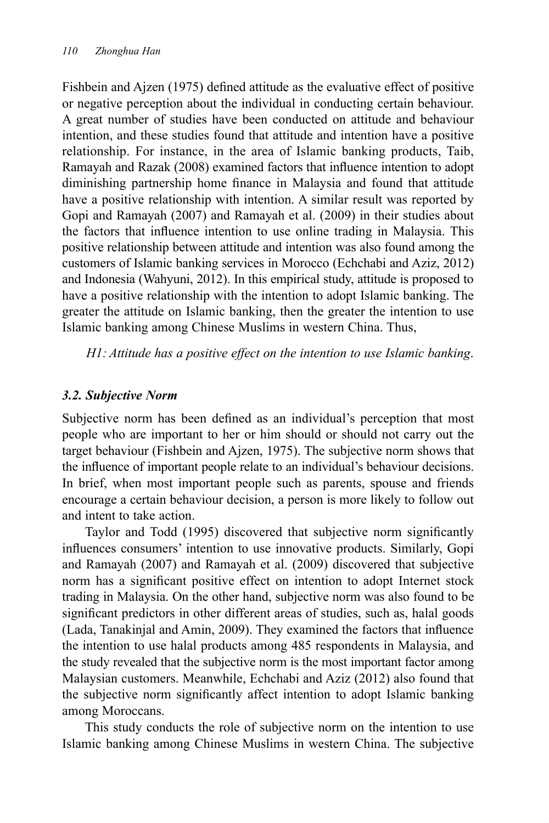Fishbein and Ajzen (1975) defined attitude as the evaluative effect of positive or negative perception about the individual in conducting certain behaviour. A great number of studies have been conducted on attitude and behaviour intention, and these studies found that attitude and intention have a positive relationship. For instance, in the area of Islamic banking products, Taib, Ramayah and Razak (2008) examined factors that influence intention to adopt diminishing partnership home finance in Malaysia and found that attitude have a positive relationship with intention. A similar result was reported by Gopi and Ramayah (2007) and Ramayah et al. (2009) in their studies about the factors that influence intention to use online trading in Malaysia. This positive relationship between attitude and intention was also found among the customers of Islamic banking services in Morocco (Echchabi and Aziz, 2012) and Indonesia (Wahyuni, 2012). In this empirical study, attitude is proposed to have a positive relationship with the intention to adopt Islamic banking. The greater the attitude on Islamic banking, then the greater the intention to use Islamic banking among Chinese Muslims in western China. Thus,

*H1: Attitude has a positive effect on the intention to use Islamic banking*.

### *3.2. Subjective Norm*

Subjective norm has been defined as an individual's perception that most people who are important to her or him should or should not carry out the target behaviour (Fishbein and Ajzen, 1975). The subjective norm shows that the influence of important people relate to an individual's behaviour decisions. In brief, when most important people such as parents, spouse and friends encourage a certain behaviour decision, a person is more likely to follow out and intent to take action.

Taylor and Todd (1995) discovered that subjective norm significantly influences consumers' intention to use innovative products. Similarly, Gopi and Ramayah (2007) and Ramayah et al. (2009) discovered that subjective norm has a significant positive effect on intention to adopt Internet stock trading in Malaysia. On the other hand, subjective norm was also found to be significant predictors in other different areas of studies, such as, halal goods (Lada, Tanakinjal and Amin, 2009). They examined the factors that influence the intention to use halal products among 485 respondents in Malaysia, and the study revealed that the subjective norm is the most important factor among Malaysian customers. Meanwhile, Echchabi and Aziz (2012) also found that the subjective norm significantly affect intention to adopt Islamic banking among Moroccans.

This study conducts the role of subjective norm on the intention to use Islamic banking among Chinese Muslims in western China. The subjective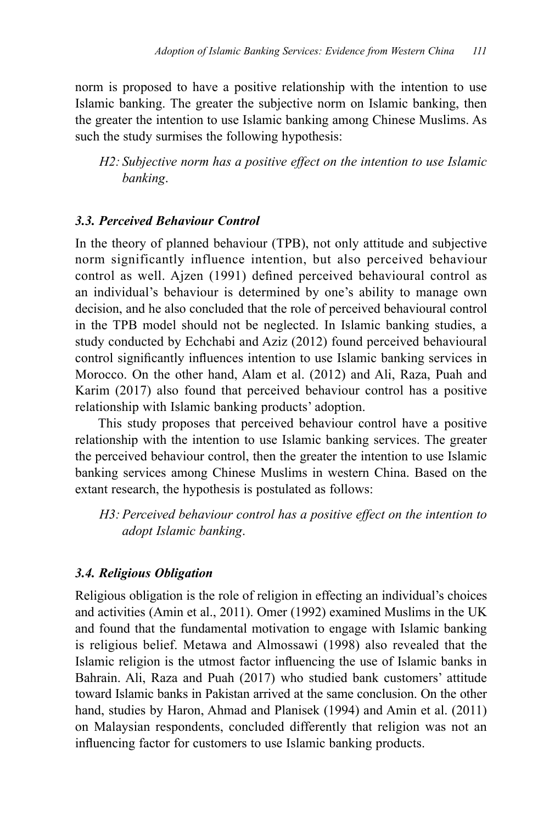norm is proposed to have a positive relationship with the intention to use Islamic banking. The greater the subjective norm on Islamic banking, then the greater the intention to use Islamic banking among Chinese Muslims. As such the study surmises the following hypothesis:

*H2: Subjective norm has a positive effect on the intention to use Islamic banking*.

### *3.3. Perceived Behaviour Control*

In the theory of planned behaviour (TPB), not only attitude and subjective norm significantly influence intention, but also perceived behaviour control as well. Ajzen (1991) defined perceived behavioural control as an individual's behaviour is determined by one's ability to manage own decision, and he also concluded that the role of perceived behavioural control in the TPB model should not be neglected. In Islamic banking studies, a study conducted by Echchabi and Aziz (2012) found perceived behavioural control significantly influences intention to use Islamic banking services in Morocco. On the other hand, Alam et al. (2012) and Ali, Raza, Puah and Karim (2017) also found that perceived behaviour control has a positive relationship with Islamic banking products' adoption.

This study proposes that perceived behaviour control have a positive relationship with the intention to use Islamic banking services. The greater the perceived behaviour control, then the greater the intention to use Islamic banking services among Chinese Muslims in western China. Based on the extant research, the hypothesis is postulated as follows:

*H3: Perceived behaviour control has a positive effect on the intention to adopt Islamic banking*.

### *3.4. Religious Obligation*

Religious obligation is the role of religion in effecting an individual's choices and activities (Amin et al., 2011). Omer (1992) examined Muslims in the UK and found that the fundamental motivation to engage with Islamic banking is religious belief. Metawa and Almossawi (1998) also revealed that the Islamic religion is the utmost factor influencing the use of Islamic banks in Bahrain. Ali, Raza and Puah (2017) who studied bank customers' attitude toward Islamic banks in Pakistan arrived at the same conclusion. On the other hand, studies by Haron, Ahmad and Planisek (1994) and Amin et al. (2011) on Malaysian respondents, concluded differently that religion was not an influencing factor for customers to use Islamic banking products.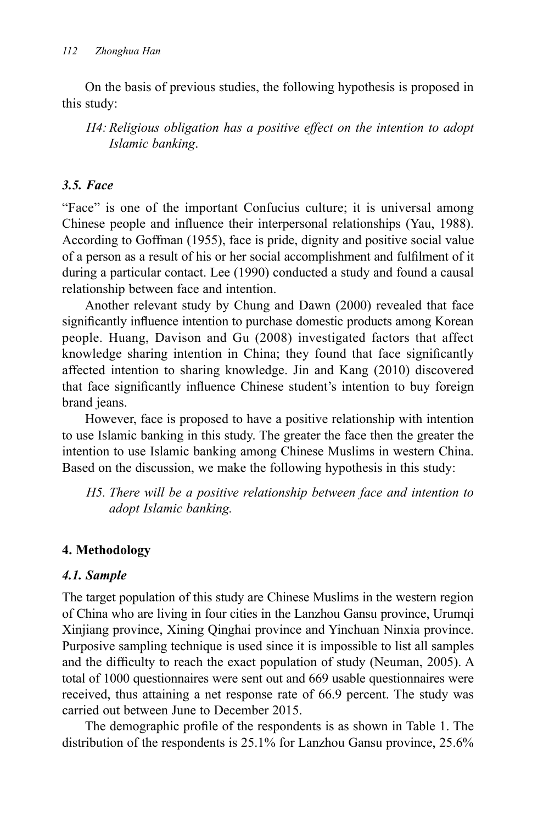On the basis of previous studies, the following hypothesis is proposed in this study:

*H4: Religious obligation has a positive effect on the intention to adopt Islamic banking*.

### *3.5. Face*

"Face" is one of the important Confucius culture; it is universal among Chinese people and influence their interpersonal relationships (Yau, 1988). According to Goffman (1955), face is pride, dignity and positive social value of a person as a result of his or her social accomplishment and fulfilment of it during a particular contact. Lee (1990) conducted a study and found a causal relationship between face and intention.

Another relevant study by Chung and Dawn (2000) revealed that face significantly influence intention to purchase domestic products among Korean people. Huang, Davison and Gu (2008) investigated factors that affect knowledge sharing intention in China; they found that face significantly affected intention to sharing knowledge. Jin and Kang (2010) discovered that face significantly influence Chinese student's intention to buy foreign brand jeans.

However, face is proposed to have a positive relationship with intention to use Islamic banking in this study. The greater the face then the greater the intention to use Islamic banking among Chinese Muslims in western China. Based on the discussion, we make the following hypothesis in this study:

*H5. There will be a positive relationship between face and intention to adopt Islamic banking.*

# **4. Methodology**

# *4.1. Sample*

The target population of this study are Chinese Muslims in the western region of China who are living in four cities in the Lanzhou Gansu province, Urumqi Xinjiang province, Xining Qinghai province and Yinchuan Ninxia province. Purposive sampling technique is used since it is impossible to list all samples and the difficulty to reach the exact population of study (Neuman, 2005). A total of 1000 questionnaires were sent out and 669 usable questionnaires were received, thus attaining a net response rate of 66.9 percent. The study was carried out between June to December 2015.

The demographic profile of the respondents is as shown in Table 1. The distribution of the respondents is 25.1% for Lanzhou Gansu province, 25.6%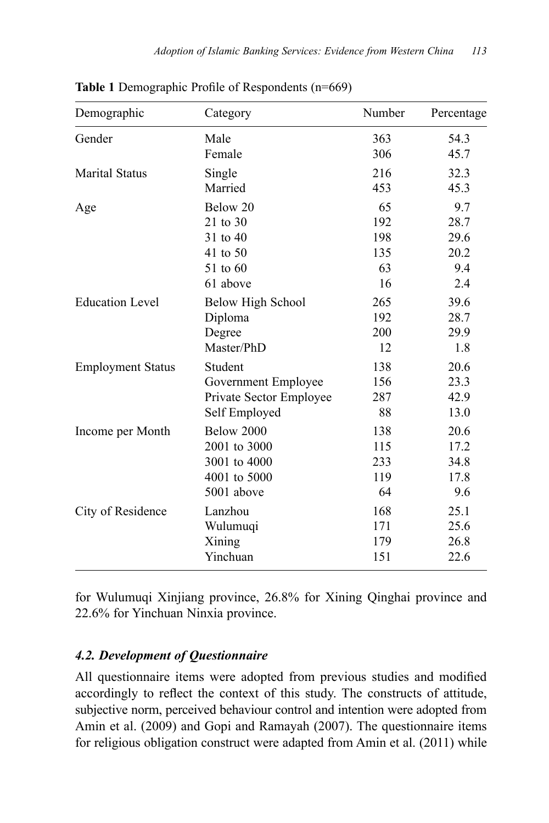| Demographic              | Category                | Number | Percentage |
|--------------------------|-------------------------|--------|------------|
| Gender                   | Male                    | 363    | 54.3       |
|                          | Female                  | 306    | 45.7       |
| <b>Marital Status</b>    | Single                  | 216    | 32.3       |
|                          | Married                 | 453    | 45.3       |
| Age                      | Below 20                | 65     | 9.7        |
|                          | 21 to 30                | 192    | 28.7       |
|                          | 31 to 40                | 198    | 29.6       |
|                          | 41 to 50                | 135    | 20.2       |
|                          | 51 to 60                | 63     | 9.4        |
|                          | 61 above                | 16     | 2.4        |
| <b>Education Level</b>   | Below High School       | 265    | 39.6       |
|                          | Diploma                 | 192    | 28.7       |
|                          | Degree                  | 200    | 29.9       |
|                          | Master/PhD              | 12     | 1.8        |
| <b>Employment Status</b> | Student                 | 138    | 20.6       |
|                          | Government Employee     | 156    | 23.3       |
|                          | Private Sector Employee | 287    | 42.9       |
|                          | Self Employed           | 88     | 13.0       |
| Income per Month         | Below 2000              | 138    | 20.6       |
|                          | 2001 to 3000            | 115    | 17.2       |
|                          | 3001 to 4000            | 233    | 34.8       |
|                          | 4001 to 5000            | 119    | 17.8       |
|                          | 5001 above              | 64     | 9.6        |
| City of Residence        | Lanzhou                 | 168    | 25.1       |
|                          | Wulumuqi                | 171    | 25.6       |
|                          | Xining                  | 179    | 26.8       |
|                          | Yinchuan                | 151    | 22.6       |

**Table 1** Demographic Profile of Respondents (n=669)

for Wulumuqi Xinjiang province, 26.8% for Xining Qinghai province and 22.6% for Yinchuan Ninxia province.

### *4.2. Development of Questionnaire*

All questionnaire items were adopted from previous studies and modified accordingly to reflect the context of this study. The constructs of attitude, subjective norm, perceived behaviour control and intention were adopted from Amin et al. (2009) and Gopi and Ramayah (2007). The questionnaire items for religious obligation construct were adapted from Amin et al. (2011) while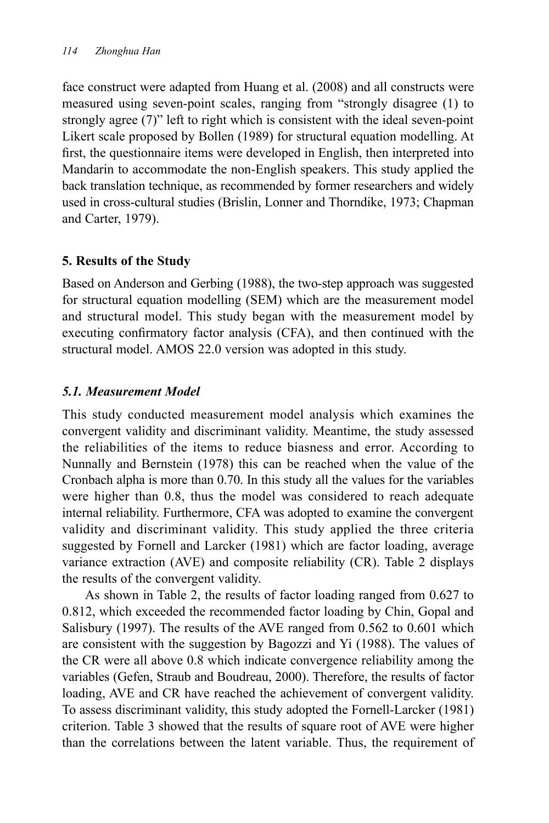face construct were adapted from Huang et al. (2008) and all constructs were measured using seven-point scales, ranging from "strongly disagree (1) to strongly agree (7)" left to right which is consistent with the ideal seven-point Likert scale proposed by Bollen (1989) for structural equation modelling. At first, the questionnaire items were developed in English, then interpreted into Mandarin to accommodate the non-English speakers. This study applied the back translation technique, as recommended by former researchers and widely used in cross-cultural studies (Brislin, Lonner and Thorndike, 1973; Chapman and Carter, 1979).

# **5. Results of the Study**

Based on Anderson and Gerbing (1988), the two-step approach was suggested for structural equation modelling (SEM) which are the measurement model and structural model. This study began with the measurement model by executing confirmatory factor analysis (CFA), and then continued with the structural model. AMOS 22.0 version was adopted in this study.

# *5.1. Measurement Model*

This study conducted measurement model analysis which examines the convergent validity and discriminant validity. Meantime, the study assessed the reliabilities of the items to reduce biasness and error. According to Nunnally and Bernstein (1978) this can be reached when the value of the Cronbach alpha is more than 0.70. In this study all the values for the variables were higher than 0.8, thus the model was considered to reach adequate internal reliability. Furthermore, CFA was adopted to examine the convergent validity and discriminant validity. This study applied the three criteria suggested by Fornell and Larcker (1981) which are factor loading, average variance extraction (AVE) and composite reliability (CR). Table 2 displays the results of the convergent validity.

As shown in Table 2, the results of factor loading ranged from 0.627 to 0.812, which exceeded the recommended factor loading by Chin, Gopal and Salisbury (1997). The results of the AVE ranged from 0.562 to 0.601 which are consistent with the suggestion by Bagozzi and Yi (1988). The values of the CR were all above 0.8 which indicate convergence reliability among the variables (Gefen, Straub and Boudreau, 2000). Therefore, the results of factor loading, AVE and CR have reached the achievement of convergent validity. To assess discriminant validity, this study adopted the Fornell-Larcker (1981) criterion. Table 3 showed that the results of square root of AVE were higher than the correlations between the latent variable. Thus, the requirement of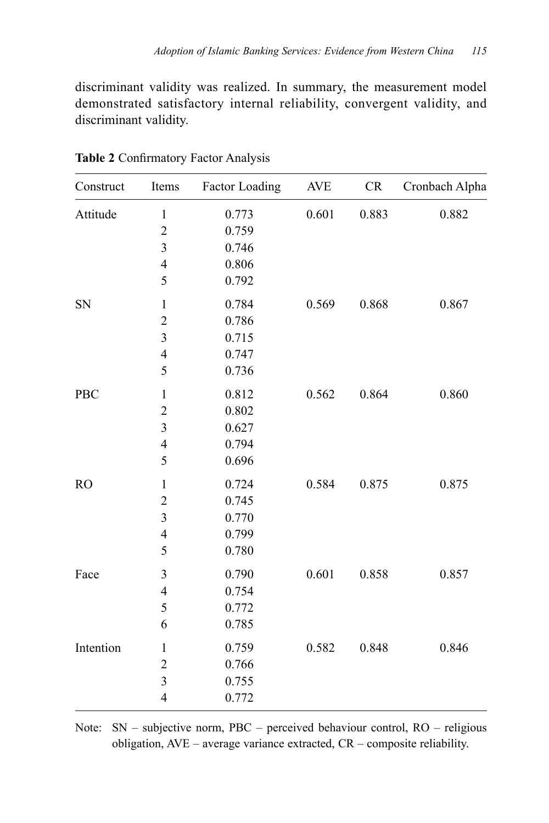discriminant validity was realized. In summary, the measurement model demonstrated satisfactory internal reliability, convergent validity, and discriminant validity.

| Construct      | Items          | Factor Loading | <b>AVE</b> | CR    | Cronbach Alpha |
|----------------|----------------|----------------|------------|-------|----------------|
| Attitude       | $\,1$          | 0.773          | 0.601      | 0.883 | 0.882          |
|                | $\overline{c}$ | 0.759          |            |       |                |
|                | 3              | 0.746          |            |       |                |
|                | $\overline{4}$ | 0.806          |            |       |                |
|                | 5              | 0.792          |            |       |                |
| SN             | $\,1$          | 0.784          | 0.569      | 0.868 | 0.867          |
|                | $\overline{c}$ | 0.786          |            |       |                |
|                | 3              | 0.715          |            |       |                |
|                | $\overline{4}$ | 0.747          |            |       |                |
|                | 5              | 0.736          |            |       |                |
| PBC            | $\mathbf{1}$   | 0.812          | 0.562      | 0.864 | 0.860          |
|                | $\overline{c}$ | 0.802          |            |       |                |
|                | 3              | 0.627          |            |       |                |
|                | $\overline{4}$ | 0.794          |            |       |                |
|                | 5              | 0.696          |            |       |                |
| R <sub>O</sub> | $\,1$          | 0.724          | 0.584      | 0.875 | 0.875          |
|                | $\overline{c}$ | 0.745          |            |       |                |
|                | 3              | 0.770          |            |       |                |
|                | $\overline{4}$ | 0.799          |            |       |                |
|                | 5              | 0.780          |            |       |                |
| Face           | 3              | 0.790          | 0.601      | 0.858 | 0.857          |
|                | $\overline{4}$ | 0.754          |            |       |                |
|                | 5              | 0.772          |            |       |                |
|                | 6              | 0.785          |            |       |                |
| Intention      | $\mathbf{1}$   | 0.759          | 0.582      | 0.848 | 0.846          |
|                | $\overline{c}$ | 0.766          |            |       |                |
|                | 3              | 0.755          |            |       |                |
|                | $\overline{4}$ | 0.772          |            |       |                |

**Table 2** Confirmatory Factor Analysis

Note: SN – subjective norm, PBC – perceived behaviour control, RO – religious obligation, AVE – average variance extracted, CR – composite reliability.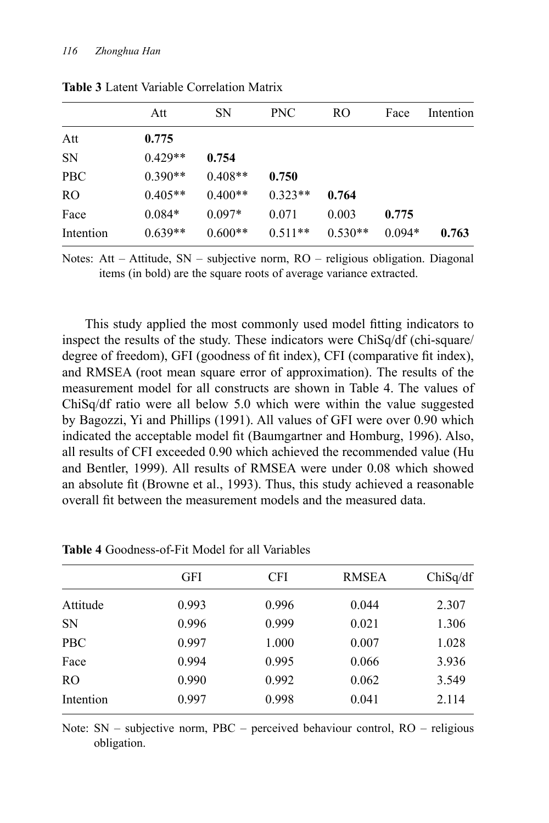|               | Att       | SΝ        | <b>PNC</b> | RO.       | Face     | Intention |
|---------------|-----------|-----------|------------|-----------|----------|-----------|
| Att           | 0.775     |           |            |           |          |           |
| <b>SN</b>     | $0.429**$ | 0.754     |            |           |          |           |
| <b>PBC</b>    | $0.390**$ | $0.408**$ | 0.750      |           |          |           |
| <sub>RO</sub> | $0.405**$ | $0.400**$ | $0.323**$  | 0.764     |          |           |
| Face          | $0.084*$  | $0.097*$  | 0.071      | 0.003     | 0.775    |           |
| Intention     | $0.639**$ | $0.600**$ | $0.511**$  | $0.530**$ | $0.094*$ | 0.763     |

**Table 3** Latent Variable Correlation Matrix

Notes: Att – Attitude, SN – subjective norm, RO – religious obligation. Diagonal items (in bold) are the square roots of average variance extracted.

This study applied the most commonly used model fitting indicators to inspect the results of the study. These indicators were ChiSq/df (chi-square/ degree of freedom), GFI (goodness of fit index), CFI (comparative fit index), and RMSEA (root mean square error of approximation). The results of the measurement model for all constructs are shown in Table 4. The values of ChiSq/df ratio were all below 5.0 which were within the value suggested by Bagozzi, Yi and Phillips (1991). All values of GFI were over 0.90 which indicated the acceptable model fit (Baumgartner and Homburg, 1996). Also, all results of CFI exceeded 0.90 which achieved the recommended value (Hu and Bentler, 1999). All results of RMSEA were under 0.08 which showed an absolute fit (Browne et al., 1993). Thus, this study achieved a reasonable overall fit between the measurement models and the measured data.

|                | GFI   | CFI   | <b>RMSEA</b> | ChiSq/df |
|----------------|-------|-------|--------------|----------|
| Attitude       | 0.993 | 0.996 | 0.044        | 2.307    |
| <b>SN</b>      | 0.996 | 0.999 | 0.021        | 1.306    |
| <b>PBC</b>     | 0.997 | 1.000 | 0.007        | 1.028    |
| Face           | 0.994 | 0.995 | 0.066        | 3.936    |
| R <sub>O</sub> | 0.990 | 0.992 | 0.062        | 3.549    |
| Intention      | 0.997 | 0.998 | 0.041        | 2.114    |

**Table 4** Goodness-of-Fit Model for all Variables

Note: SN – subjective norm, PBC – perceived behaviour control, RO – religious obligation.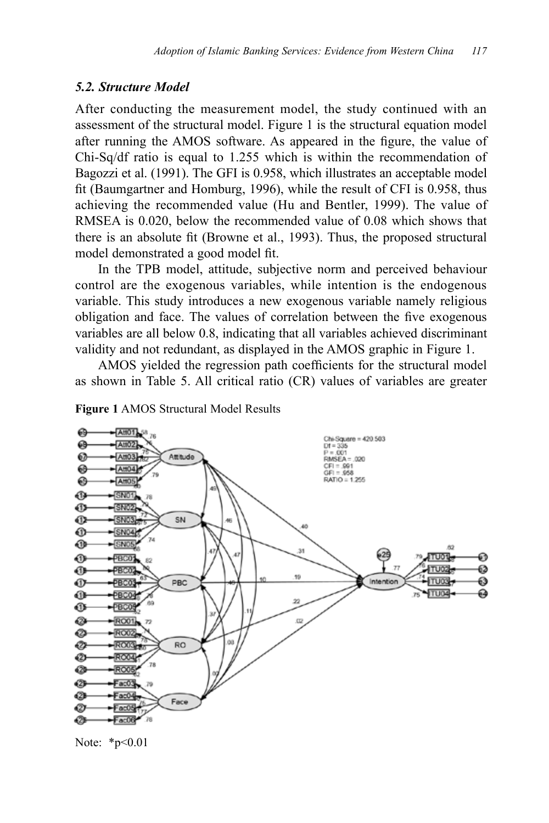#### *5.2. Structure Model*

After conducting the measurement model, the study continued with an assessment of the structural model. Figure 1 is the structural equation model after running the AMOS software. As appeared in the figure, the value of Chi-Sq/df ratio is equal to 1.255 which is within the recommendation of Bagozzi et al. (1991). The GFI is 0.958, which illustrates an acceptable model fit (Baumgartner and Homburg, 1996), while the result of CFI is 0.958, thus achieving the recommended value (Hu and Bentler, 1999). The value of RMSEA is 0.020, below the recommended value of 0.08 which shows that there is an absolute fit (Browne et al., 1993). Thus, the proposed structural model demonstrated a good model fit.

In the TPB model, attitude, subjective norm and perceived behaviour control are the exogenous variables, while intention is the endogenous variable. This study introduces a new exogenous variable namely religious obligation and face. The values of correlation between the five exogenous variables are all below 0.8, indicating that all variables achieved discriminant validity and not redundant, as displayed in the AMOS graphic in Figure 1.

AMOS yielded the regression path coefficients for the structural model as shown in Table 5. All critical ratio (CR) values of variables are greater



**Figure 1** AMOS Structural Model Results

Note: \*p<0.01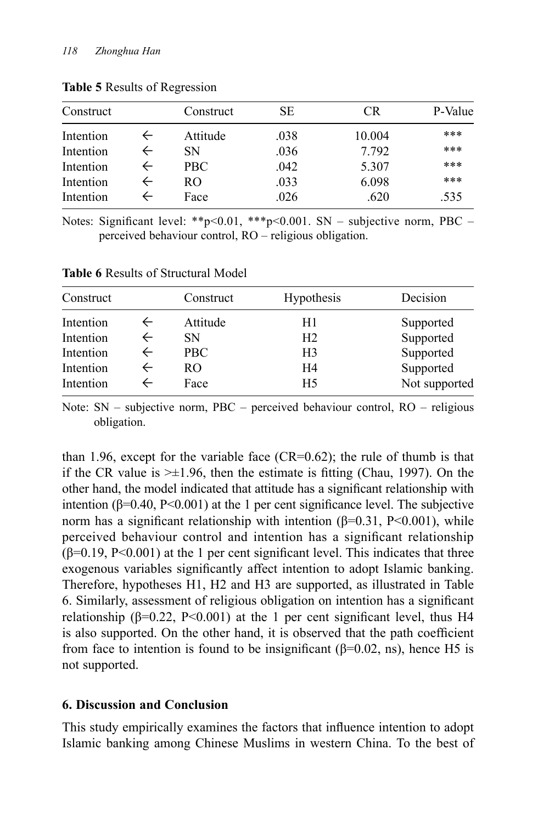| Construct |   | Construct | <b>SE</b> | CR.    | P-Value |
|-----------|---|-----------|-----------|--------|---------|
| Intention |   | Attitude  | .038      | 10.004 | ***     |
| Intention |   | SΝ        | .036      | 7.792  | ***     |
| Intention | ← | PBC.      | .042      | 5.307  | ***     |
| Intention | ← | RO.       | .033      | 6.098  | ***     |
| Intention |   | Face      | .026      | .620   | .535    |

**Table 5** Results of Regression

Notes: Significant level: \*\*p<0.01, \*\*\*p<0.001. SN – subjective norm, PBC – perceived behaviour control, RO – religious obligation.

| Construct | Construct  | Hypothesis     | Decision      |
|-----------|------------|----------------|---------------|
| Intention | Attitude   | H1             | Supported     |
| Intention | SN.        | H <sub>2</sub> | Supported     |
| Intention | <b>PBC</b> | H <sub>3</sub> | Supported     |
| Intention | RO.        | H4             | Supported     |
| Intention | Face       | H <sub>5</sub> | Not supported |

**Table 6** Results of Structural Model

Note: SN – subjective norm, PBC – perceived behaviour control, RO – religious obligation.

than 1.96, except for the variable face  $(CR=0.62)$ ; the rule of thumb is that if the CR value is  $\geq \pm 1.96$ , then the estimate is fitting (Chau, 1997). On the other hand, the model indicated that attitude has a significant relationship with intention  $(\beta=0.40, \text{P}<0.001)$  at the 1 per cent significance level. The subjective norm has a significant relationship with intention  $(β=0.31, P<0.001)$ , while perceived behaviour control and intention has a significant relationship  $(\beta=0.19, P<0.001)$  at the 1 per cent significant level. This indicates that three exogenous variables significantly affect intention to adopt Islamic banking. Therefore, hypotheses H1, H2 and H3 are supported, as illustrated in Table 6. Similarly, assessment of religious obligation on intention has a significant relationship ( $\beta$ =0.22, P<0.001) at the 1 per cent significant level, thus H4 is also supported. On the other hand, it is observed that the path coefficient from face to intention is found to be insignificant ( $\beta$ =0.02, ns), hence H5 is not supported.

### **6. Discussion and Conclusion**

This study empirically examines the factors that influence intention to adopt Islamic banking among Chinese Muslims in western China. To the best of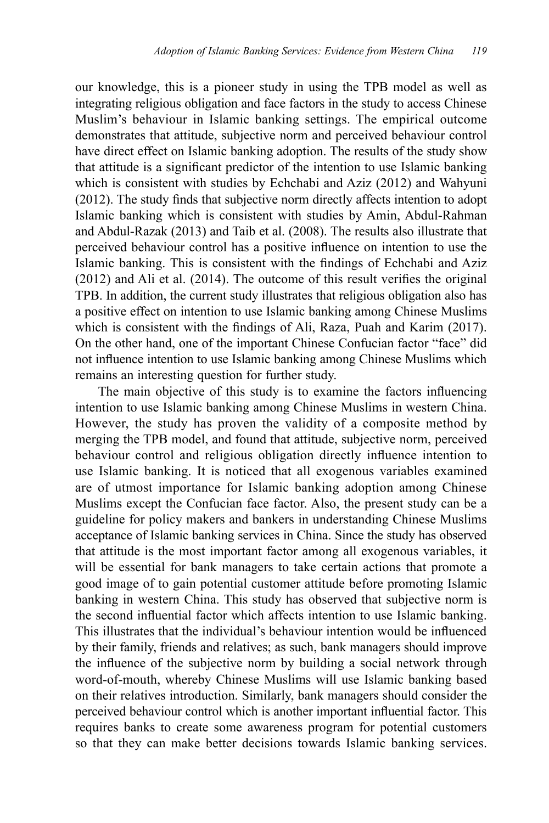our knowledge, this is a pioneer study in using the TPB model as well as integrating religious obligation and face factors in the study to access Chinese Muslim's behaviour in Islamic banking settings. The empirical outcome demonstrates that attitude, subjective norm and perceived behaviour control have direct effect on Islamic banking adoption. The results of the study show that attitude is a significant predictor of the intention to use Islamic banking which is consistent with studies by Echchabi and Aziz (2012) and Wahyuni (2012). The study finds that subjective norm directly affects intention to adopt Islamic banking which is consistent with studies by Amin, Abdul-Rahman and Abdul-Razak (2013) and Taib et al. (2008). The results also illustrate that perceived behaviour control has a positive influence on intention to use the Islamic banking. This is consistent with the findings of Echchabi and Aziz (2012) and Ali et al. (2014). The outcome of this result verifies the original TPB. In addition, the current study illustrates that religious obligation also has a positive effect on intention to use Islamic banking among Chinese Muslims which is consistent with the findings of Ali, Raza, Puah and Karim (2017). On the other hand, one of the important Chinese Confucian factor "face" did not influence intention to use Islamic banking among Chinese Muslims which remains an interesting question for further study.

The main objective of this study is to examine the factors influencing intention to use Islamic banking among Chinese Muslims in western China. However, the study has proven the validity of a composite method by merging the TPB model, and found that attitude, subjective norm, perceived behaviour control and religious obligation directly influence intention to use Islamic banking. It is noticed that all exogenous variables examined are of utmost importance for Islamic banking adoption among Chinese Muslims except the Confucian face factor. Also, the present study can be a guideline for policy makers and bankers in understanding Chinese Muslims acceptance of Islamic banking services in China. Since the study has observed that attitude is the most important factor among all exogenous variables, it will be essential for bank managers to take certain actions that promote a good image of to gain potential customer attitude before promoting Islamic banking in western China. This study has observed that subjective norm is the second influential factor which affects intention to use Islamic banking. This illustrates that the individual's behaviour intention would be influenced by their family, friends and relatives; as such, bank managers should improve the influence of the subjective norm by building a social network through word-of-mouth, whereby Chinese Muslims will use Islamic banking based on their relatives introduction. Similarly, bank managers should consider the perceived behaviour control which is another important influential factor. This requires banks to create some awareness program for potential customers so that they can make better decisions towards Islamic banking services.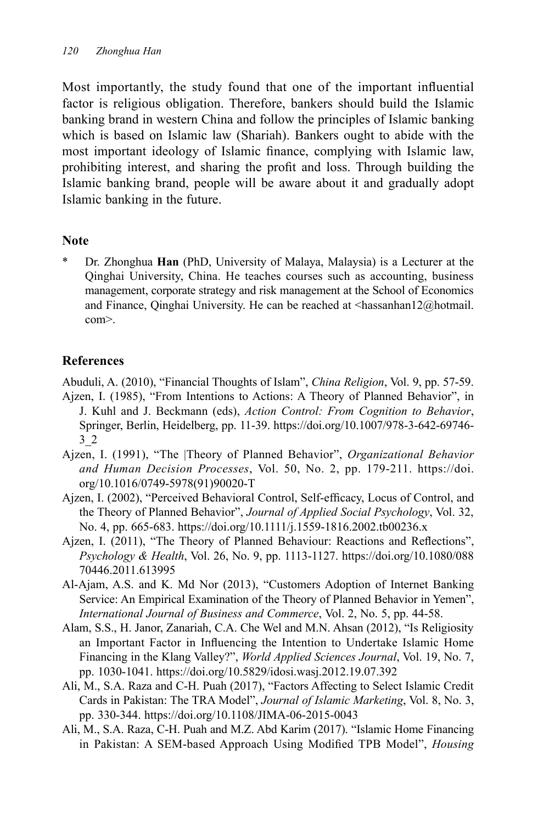Most importantly, the study found that one of the important influential factor is religious obligation. Therefore, bankers should build the Islamic banking brand in western China and follow the principles of Islamic banking which is based on Islamic law (Shariah). Bankers ought to abide with the most important ideology of Islamic finance, complying with Islamic law, prohibiting interest, and sharing the profit and loss. Through building the Islamic banking brand, people will be aware about it and gradually adopt Islamic banking in the future.

### **Note**

\* Dr. Zhonghua **Han** (PhD, University of Malaya, Malaysia) is a Lecturer at the Qinghai University, China. He teaches courses such as accounting, business management, corporate strategy and risk management at the School of Economics and Finance, Qinghai University. He can be reached at <hassanhan12@hotmail. com>.

# **References**

Abuduli, A. (2010), "Financial Thoughts of Islam", *China Religion*, Vol. 9, pp. 57-59. Ajzen, I. (1985), "From Intentions to Actions: A Theory of Planned Behavior", in J. Kuhl and J. Beckmann (eds), *Action Control: From Cognition to Behavior*, Springer, Berlin, Heidelberg, pp. 11-39. https://doi.org/10.1007/978-3-642-69746- 3\_2

- Ajzen, I. (1991), "The |Theory of Planned Behavior", *Organizational Behavior and Human Decision Processes*, Vol. 50, No. 2, pp. 179-211. https://doi. org/10.1016/0749-5978(91)90020-T
- Ajzen, I. (2002), "Perceived Behavioral Control, Self-efficacy, Locus of Control, and the Theory of Planned Behavior", *Journal of Applied Social Psychology*, Vol. 32, No. 4, pp. 665-683. https://doi.org/10.1111/j.1559-1816.2002.tb00236.x
- Ajzen, I. (2011), "The Theory of Planned Behaviour: Reactions and Reflections", *Psychology & Health*, Vol. 26, No. 9, pp. 1113-1127. https://doi.org/10.1080/088 70446.2011.613995
- Al-Ajam, A.S. and K. Md Nor (2013), "Customers Adoption of Internet Banking Service: An Empirical Examination of the Theory of Planned Behavior in Yemen", *International Journal of Business and Commerce*, Vol. 2, No. 5, pp. 44-58.
- Alam, S.S., H. Janor, Zanariah, C.A. Che Wel and M.N. Ahsan (2012), "Is Religiosity an Important Factor in Influencing the Intention to Undertake Islamic Home Financing in the Klang Valley?", *World Applied Sciences Journal*, Vol. 19, No. 7, pp. 1030-1041. https://doi.org/10.5829/idosi.wasj.2012.19.07.392
- Ali, M., S.A. Raza and C-H. Puah (2017), "Factors Affecting to Select Islamic Credit Cards in Pakistan: The TRA Model", *Journal of Islamic Marketing*, Vol. 8, No. 3, pp. 330-344. https://doi.org/10.1108/JIMA-06-2015-0043
- Ali, M., S.A. Raza, C-H. Puah and M.Z. Abd Karim (2017). "Islamic Home Financing in Pakistan: A SEM-based Approach Using Modified TPB Model", *Housing*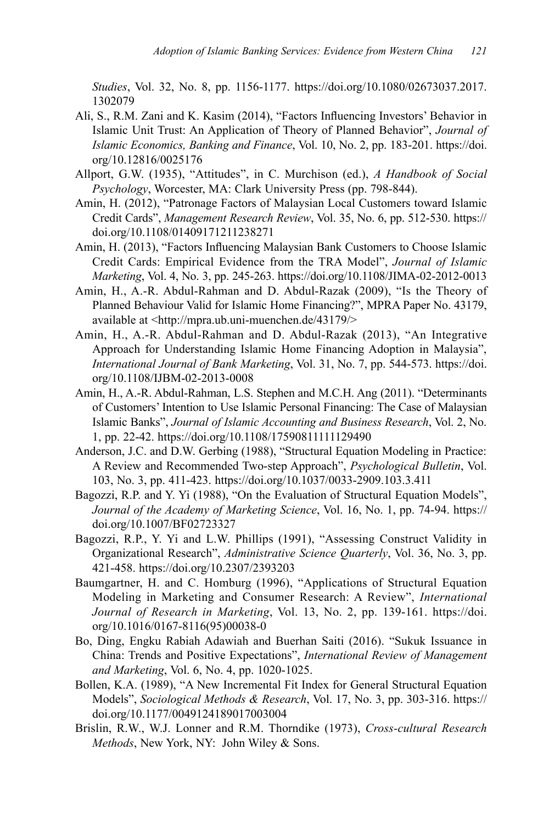*Studies*, Vol. 32, No. 8, pp. 1156-1177. https://doi.org/10.1080/02673037.2017. 1302079

- Ali, S., R.M. Zani and K. Kasim (2014), "Factors Influencing Investors' Behavior in Islamic Unit Trust: An Application of Theory of Planned Behavior", *Journal of Islamic Economics, Banking and Finance*, Vol. 10, No. 2, pp. 183-201. https://doi. org/10.12816/0025176
- Allport, G.W. (1935), "Attitudes", in C. Murchison (ed.), *A Handbook of Social Psychology*, Worcester, MA: Clark University Press (pp. 798-844).
- Amin, H. (2012), "Patronage Factors of Malaysian Local Customers toward Islamic Credit Cards", *Management Research Review*, Vol. 35, No. 6, pp. 512-530. https:// doi.org/10.1108/01409171211238271
- Amin, H. (2013), "Factors Influencing Malaysian Bank Customers to Choose Islamic Credit Cards: Empirical Evidence from the TRA Model", *Journal of Islamic Marketing*, Vol. 4, No. 3, pp. 245-263. https://doi.org/10.1108/JIMA-02-2012-0013
- Amin, H., A.-R. Abdul-Rahman and D. Abdul-Razak (2009), "Is the Theory of Planned Behaviour Valid for Islamic Home Financing?", MPRA Paper No. 43179, available at <http://mpra.ub.uni-muenchen.de/43179/>
- Amin, H., A.-R. Abdul-Rahman and D. Abdul-Razak (2013), "An Integrative Approach for Understanding Islamic Home Financing Adoption in Malaysia", *International Journal of Bank Marketing*, Vol. 31, No. 7, pp. 544-573. https://doi. org/10.1108/IJBM-02-2013-0008
- Amin, H., A.-R. Abdul-Rahman, L.S. Stephen and M.C.H. Ang (2011). "Determinants of Customers' Intention to Use Islamic Personal Financing: The Case of Malaysian Islamic Banks", *Journal of Islamic Accounting and Business Research*, Vol. 2, No. 1, pp. 22-42. https://doi.org/10.1108/17590811111129490
- Anderson, J.C. and D.W. Gerbing (1988), "Structural Equation Modeling in Practice: A Review and Recommended Two-step Approach", *Psychological Bulletin*, Vol. 103, No. 3, pp. 411-423. https://doi.org/10.1037/0033-2909.103.3.411
- Bagozzi, R.P. and Y. Yi (1988), "On the Evaluation of Structural Equation Models", *Journal of the Academy of Marketing Science*, Vol. 16, No. 1, pp. 74-94. https:// doi.org/10.1007/BF02723327
- Bagozzi, R.P., Y. Yi and L.W. Phillips (1991), "Assessing Construct Validity in Organizational Research", *Administrative Science Quarterly*, Vol. 36, No. 3, pp. 421-458. https://doi.org/10.2307/2393203
- Baumgartner, H. and C. Homburg (1996), "Applications of Structural Equation Modeling in Marketing and Consumer Research: A Review", *International Journal of Research in Marketing*, Vol. 13, No. 2, pp. 139-161. https://doi. org/10.1016/0167-8116(95)00038-0
- Bo, Ding, Engku Rabiah Adawiah and Buerhan Saiti (2016). "Sukuk Issuance in China: Trends and Positive Expectations", *International Review of Management and Marketing*, Vol. 6, No. 4, pp. 1020-1025.
- Bollen, K.A. (1989), "A New Incremental Fit Index for General Structural Equation Models", *Sociological Methods & Research*, Vol. 17, No. 3, pp. 303-316. https:// doi.org/10.1177/0049124189017003004
- Brislin, R.W., W.J. Lonner and R.M. Thorndike (1973), *Cross-cultural Research Methods*, New York, NY: John Wiley & Sons.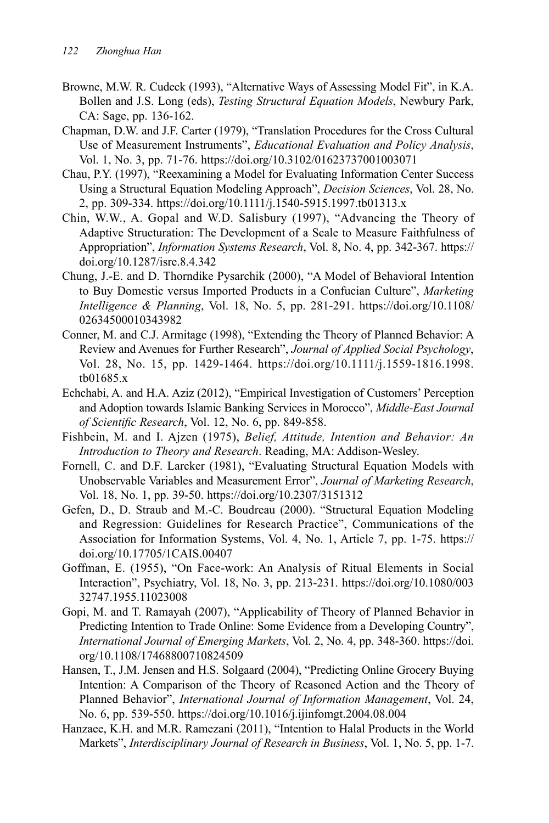- Browne, M.W. R. Cudeck (1993), "Alternative Ways of Assessing Model Fit", in K.A. Bollen and J.S. Long (eds), *Testing Structural Equation Models*, Newbury Park, CA: Sage, pp. 136-162.
- Chapman, D.W. and J.F. Carter (1979), "Translation Procedures for the Cross Cultural Use of Measurement Instruments", *Educational Evaluation and Policy Analysis*, Vol. 1, No. 3, pp. 71-76. https://doi.org/10.3102/01623737001003071
- Chau, P.Y. (1997), "Reexamining a Model for Evaluating Information Center Success Using a Structural Equation Modeling Approach", *Decision Sciences*, Vol. 28, No. 2, pp. 309-334. https://doi.org/10.1111/j.1540-5915.1997.tb01313.x
- Chin, W.W., A. Gopal and W.D. Salisbury (1997), "Advancing the Theory of Adaptive Structuration: The Development of a Scale to Measure Faithfulness of Appropriation", *Information Systems Research*, Vol. 8, No. 4, pp. 342-367. https:// doi.org/10.1287/isre.8.4.342
- Chung, J.-E. and D. Thorndike Pysarchik (2000), "A Model of Behavioral Intention to Buy Domestic versus Imported Products in a Confucian Culture", *Marketing Intelligence & Planning*, Vol. 18, No. 5, pp. 281-291. https://doi.org/10.1108/ 02634500010343982
- Conner, M. and C.J. Armitage (1998), "Extending the Theory of Planned Behavior: A Review and Avenues for Further Research", *Journal of Applied Social Psychology*, Vol. 28, No. 15, pp. 1429-1464. https://doi.org/10.1111/j.1559-1816.1998. tb01685.x
- Echchabi, A. and H.A. Aziz (2012), "Empirical Investigation of Customers' Perception and Adoption towards Islamic Banking Services in Morocco", *Middle-East Journal of Scientific Research*, Vol. 12, No. 6, pp. 849-858.
- Fishbein, M. and I. Ajzen (1975), *Belief, Attitude, Intention and Behavior: An Introduction to Theory and Research*. Reading, MA: Addison-Wesley.
- Fornell, C. and D.F. Larcker (1981), "Evaluating Structural Equation Models with Unobservable Variables and Measurement Error", *Journal of Marketing Research*, Vol. 18, No. 1, pp. 39-50. https://doi.org/10.2307/3151312
- Gefen, D., D. Straub and M.-C. Boudreau (2000). "Structural Equation Modeling and Regression: Guidelines for Research Practice", Communications of the Association for Information Systems, Vol. 4, No. 1, Article 7, pp. 1-75. https:// doi.org/10.17705/1CAIS.00407
- Goffman, E. (1955), "On Face-work: An Analysis of Ritual Elements in Social Interaction", Psychiatry, Vol. 18, No. 3, pp. 213-231. https://doi.org/10.1080/003 32747.1955.11023008
- Gopi, M. and T. Ramayah (2007), "Applicability of Theory of Planned Behavior in Predicting Intention to Trade Online: Some Evidence from a Developing Country", *International Journal of Emerging Markets*, Vol. 2, No. 4, pp. 348-360. https://doi. org/10.1108/17468800710824509
- Hansen, T., J.M. Jensen and H.S. Solgaard (2004), "Predicting Online Grocery Buying Intention: A Comparison of the Theory of Reasoned Action and the Theory of Planned Behavior", *International Journal of Information Management*, Vol. 24, No. 6, pp. 539-550. https://doi.org/10.1016/j.ijinfomgt.2004.08.004
- Hanzaee, K.H. and M.R. Ramezani (2011), "Intention to Halal Products in the World Markets", *Interdisciplinary Journal of Research in Business*, Vol. 1, No. 5, pp. 1-7.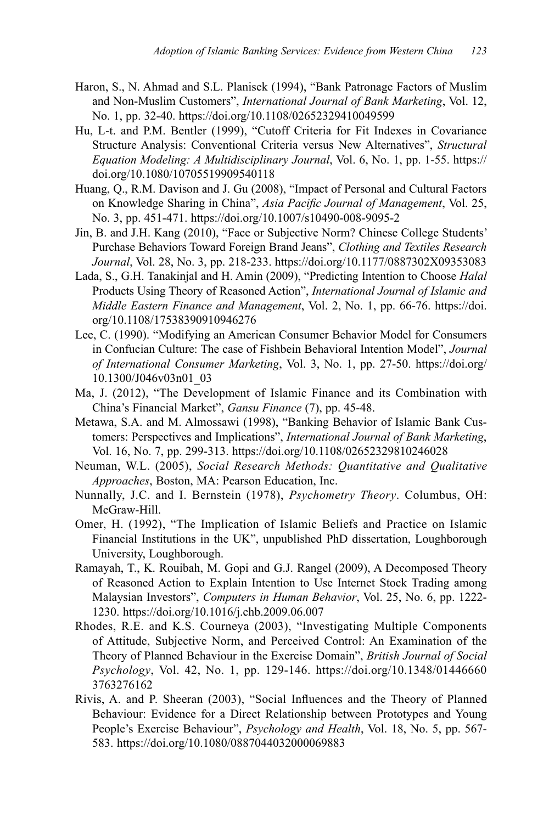- Haron, S., N. Ahmad and S.L. Planisek (1994), "Bank Patronage Factors of Muslim and Non-Muslim Customers", *International Journal of Bank Marketing*, Vol. 12, No. 1, pp. 32-40. https://doi.org/10.1108/02652329410049599
- Hu, L-t. and P.M. Bentler (1999), "Cutoff Criteria for Fit Indexes in Covariance Structure Analysis: Conventional Criteria versus New Alternatives", *Structural Equation Modeling: A Multidisciplinary Journal*, Vol. 6, No. 1, pp. 1-55. https:// doi.org/10.1080/10705519909540118
- Huang, Q., R.M. Davison and J. Gu (2008), "Impact of Personal and Cultural Factors on Knowledge Sharing in China", *Asia Pacific Journal of Management*, Vol. 25, No. 3, pp. 451-471. https://doi.org/10.1007/s10490-008-9095-2
- Jin, B. and J.H. Kang (2010), "Face or Subjective Norm? Chinese College Students' Purchase Behaviors Toward Foreign Brand Jeans", *Clothing and Textiles Research Journal*, Vol. 28, No. 3, pp. 218-233. https://doi.org/10.1177/0887302X09353083
- Lada, S., G.H. Tanakinjal and H. Amin (2009), "Predicting Intention to Choose *Halal* Products Using Theory of Reasoned Action", *International Journal of Islamic and Middle Eastern Finance and Management*, Vol. 2, No. 1, pp. 66-76. https://doi. org/10.1108/17538390910946276
- Lee, C. (1990). "Modifying an American Consumer Behavior Model for Consumers in Confucian Culture: The case of Fishbein Behavioral Intention Model", *Journal of International Consumer Marketing*, Vol. 3, No. 1, pp. 27-50. https://doi.org/ 10.1300/J046v03n01\_03
- Ma, J. (2012), "The Development of Islamic Finance and its Combination with China's Financial Market", *Gansu Finance* (7), pp. 45-48.
- Metawa, S.A. and M. Almossawi (1998), "Banking Behavior of Islamic Bank Customers: Perspectives and Implications", *International Journal of Bank Marketing*, Vol. 16, No. 7, pp. 299-313. https://doi.org/10.1108/02652329810246028
- Neuman, W.L. (2005), *Social Research Methods: Quantitative and Qualitative Approaches*, Boston, MA: Pearson Education, Inc.
- Nunnally, J.C. and I. Bernstein (1978), *Psychometry Theory*. Columbus, OH: McGraw-Hill.
- Omer, H. (1992), "The Implication of Islamic Beliefs and Practice on Islamic Financial Institutions in the UK", unpublished PhD dissertation, Loughborough University, Loughborough.
- Ramayah, T., K. Rouibah, M. Gopi and G.J. Rangel (2009), A Decomposed Theory of Reasoned Action to Explain Intention to Use Internet Stock Trading among Malaysian Investors", *Computers in Human Behavior*, Vol. 25, No. 6, pp. 1222- 1230. https://doi.org/10.1016/j.chb.2009.06.007
- Rhodes, R.E. and K.S. Courneya (2003), "Investigating Multiple Components of Attitude, Subjective Norm, and Perceived Control: An Examination of the Theory of Planned Behaviour in the Exercise Domain", *British Journal of Social Psychology*, Vol. 42, No. 1, pp. 129-146. https://doi.org/10.1348/01446660 3763276162
- Rivis, A. and P. Sheeran (2003), "Social Influences and the Theory of Planned Behaviour: Evidence for a Direct Relationship between Prototypes and Young People's Exercise Behaviour", *Psychology and Health*, Vol. 18, No. 5, pp. 567- 583. https://doi.org/10.1080/0887044032000069883